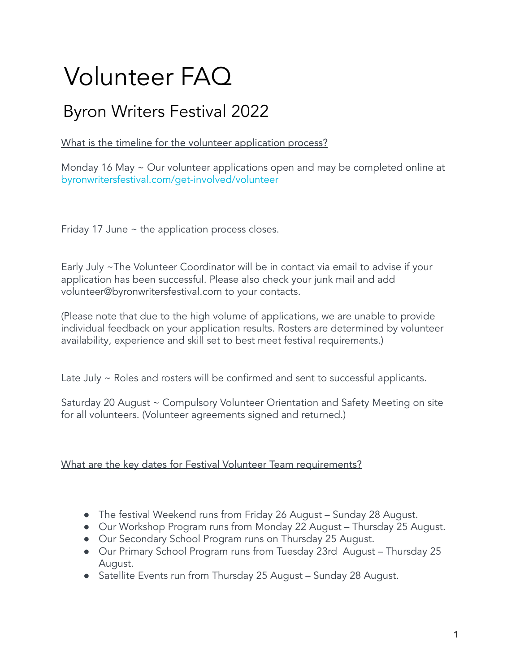# Volunteer FAQ

# Byron Writers Festival 2022

What is the timeline for the volunteer application process?

Monday 16 May ~ Our volunteer applications open and may be completed online at [byronwritersfestival.com/get-involved/volunteer](https://byronwritersfestival.com/get-involved/volunteer/)

Friday 17 June  $\sim$  the application process closes.

Early July ~The Volunteer Coordinator will be in contact via email to advise if your application has been successful. Please also check your junk mail and add volunteer@byronwritersfestival.com to your contacts.

(Please note that due to the high volume of applications, we are unable to provide individual feedback on your application results. Rosters are determined by volunteer availability, experience and skill set to best meet festival requirements.)

Late July ~ Roles and rosters will be confirmed and sent to successful applicants.

Saturday 20 August ~ Compulsory Volunteer Orientation and Safety Meeting on site for all volunteers. (Volunteer agreements signed and returned.)

# What are the key dates for Festival Volunteer Team requirements?

- The festival Weekend runs from Friday 26 August Sunday 28 August.
- Our Workshop Program runs from Monday 22 August Thursday 25 August.
- Our Secondary School Program runs on Thursday 25 August.
- Our Primary School Program runs from Tuesday 23rd August Thursday 25 August.
- Satellite Events run from Thursday 25 August Sunday 28 August.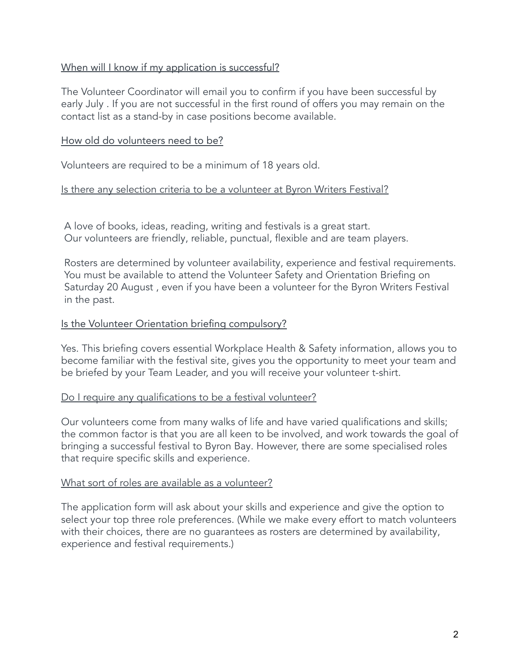#### When will I know if my application is successful?

The Volunteer Coordinator will email you to confirm if you have been successful by early July . If you are not successful in the first round of offers you may remain on the contact list as a stand-by in case positions become available.

#### How old do volunteers need to be?

Volunteers are required to be a minimum of 18 years old.

#### Is there any selection criteria to be a volunteer at Byron Writers Festival?

A love of books, ideas, reading, writing and festivals is a great start. Our volunteers are friendly, reliable, punctual, flexible and are team players.

Rosters are determined by volunteer availability, experience and festival requirements. You must be available to attend the Volunteer Safety and Orientation Briefing on Saturday 20 August , even if you have been a volunteer for the Byron Writers Festival in the past.

#### Is the Volunteer Orientation briefing compulsory?

Yes. This briefing covers essential Workplace Health & Safety information, allows you to become familiar with the festival site, gives you the opportunity to meet your team and be briefed by your Team Leader, and you will receive your volunteer t-shirt.

#### Do I require any qualifications to be a festival volunteer?

Our volunteers come from many walks of life and have varied qualifications and skills; the common factor is that you are all keen to be involved, and work towards the goal of bringing a successful festival to Byron Bay. However, there are some specialised roles that require specific skills and experience.

#### What sort of roles are available as a volunteer?

The application form will ask about your skills and experience and give the option to select your top three role preferences. (While we make every effort to match volunteers with their choices, there are no guarantees as rosters are determined by availability, experience and festival requirements.)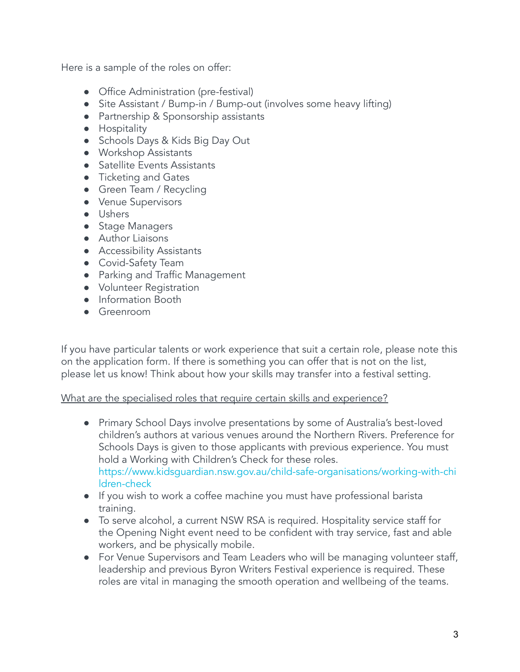Here is a sample of the roles on offer:

- Office Administration (pre-festival)
- Site Assistant / Bump-in / Bump-out (involves some heavy lifting)
- Partnership & Sponsorship assistants
- Hospitality
- Schools Days & Kids Big Day Out
- Workshop Assistants
- Satellite Events Assistants
- Ticketing and Gates
- Green Team / Recycling
- Venue Supervisors
- Ushers
- Stage Managers
- Author Liaisons
- Accessibility Assistants
- Covid-Safety Team
- Parking and Traffic Management
- Volunteer Registration
- Information Booth
- Greenroom

If you have particular talents or work experience that suit a certain role, please note this on the application form. If there is something you can offer that is not on the list, please let us know! Think about how your skills may transfer into a festival setting.

#### What are the specialised roles that require certain skills and experience?

- Primary School Days involve presentations by some of Australia's best-loved children's authors at various venues around the Northern Rivers. Preference for Schools Days is given to those applicants with previous experience. You must hold a Working with Children's Check for these roles. [https://www.kidsguardian.nsw.gov.au/child-safe-organisations/working-with-chi](https://www.kidsguardian.nsw.gov.au/child-safe-organisations/working-with-children-check) [ldren-check](https://www.kidsguardian.nsw.gov.au/child-safe-organisations/working-with-children-check)
- If you wish to work a coffee machine you must have professional barista training.
- To serve alcohol, a current NSW RSA is required. Hospitality service staff for the Opening Night event need to be confident with tray service, fast and able workers, and be physically mobile.
- For Venue Supervisors and Team Leaders who will be managing volunteer staff, leadership and previous Byron Writers Festival experience is required. These roles are vital in managing the smooth operation and wellbeing of the teams.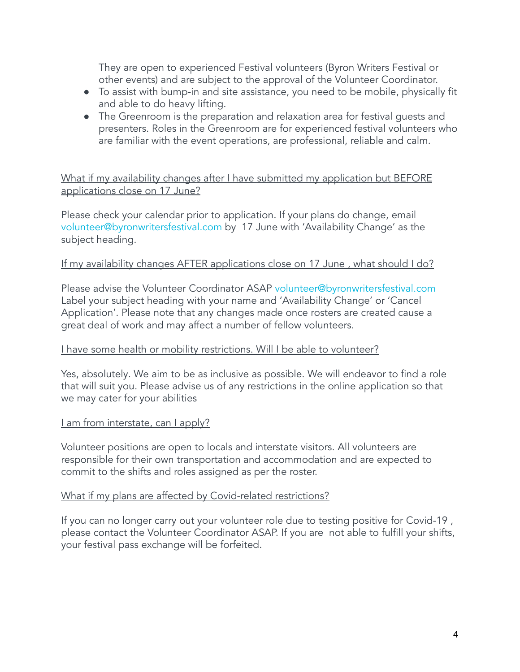They are open to experienced Festival volunteers (Byron Writers Festival or other events) and are subject to the approval of the Volunteer Coordinator.

- To assist with bump-in and site assistance, you need to be mobile, physically fit and able to do heavy lifting.
- The Greenroom is the preparation and relaxation area for festival guests and presenters. Roles in the Greenroom are for experienced festival volunteers who are familiar with the event operations, are professional, reliable and calm.

What if my availability changes after I have submitted my application but BEFORE applications close on 17 June?

Please check your calendar prior to application. If your plans do change, email volunteer@byronwritersfestival.com by 17 June with 'Availability Change' as the subject heading.

#### If my availability changes AFTER applications close on 17 June , what should I do?

Please advise the Volunteer Coordinator ASAP volunteer@byronwritersfestival.com Label your subject heading with your name and 'Availability Change' or 'Cancel Application'. Please note that any changes made once rosters are created cause a great deal of work and may affect a number of fellow volunteers.

#### I have some health or mobility restrictions. Will I be able to volunteer?

Yes, absolutely. We aim to be as inclusive as possible. We will endeavor to find a role that will suit you. Please advise us of any restrictions in the online application so that we may cater for your abilities

#### I am from interstate, can I apply?

Volunteer positions are open to locals and interstate visitors. All volunteers are responsible for their own transportation and accommodation and are expected to commit to the shifts and roles assigned as per the roster.

#### What if my plans are affected by Covid-related restrictions?

If you can no longer carry out your volunteer role due to testing positive for Covid-19 , please contact the Volunteer Coordinator ASAP. If you are not able to fulfill your shifts, your festival pass exchange will be forfeited.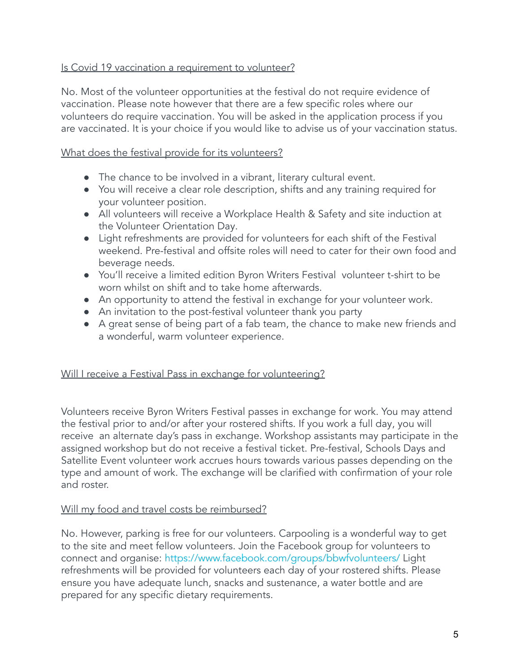#### Is Covid 19 vaccination a requirement to volunteer?

No. Most of the volunteer opportunities at the festival do not require evidence of vaccination. Please note however that there are a few specific roles where our volunteers do require vaccination. You will be asked in the application process if you are vaccinated. It is your choice if you would like to advise us of your vaccination status.

### What does the festival provide for its volunteers?

- The chance to be involved in a vibrant, literary cultural event.
- You will receive a clear role description, shifts and any training required for your volunteer position.
- All volunteers will receive a Workplace Health & Safety and site induction at the Volunteer Orientation Day.
- Light refreshments are provided for volunteers for each shift of the Festival weekend. Pre-festival and offsite roles will need to cater for their own food and beverage needs.
- You'll receive a limited edition Byron Writers Festival volunteer t-shirt to be worn whilst on shift and to take home afterwards.
- An opportunity to attend the festival in exchange for your volunteer work.
- An invitation to the post-festival volunteer thank you party
- A great sense of being part of a fab team, the chance to make new friends and a wonderful, warm volunteer experience.

#### Will I receive a Festival Pass in exchange for volunteering?

Volunteers receive Byron Writers Festival passes in exchange for work. You may attend the festival prior to and/or after your rostered shifts. If you work a full day, you will receive an alternate day's pass in exchange. Workshop assistants may participate in the assigned workshop but do not receive a festival ticket. Pre-festival, Schools Days and Satellite Event volunteer work accrues hours towards various passes depending on the type and amount of work. The exchange will be clarified with confirmation of your role and roster.

#### Will my food and travel costs be reimbursed?

No. However, parking is free for our volunteers. Carpooling is a wonderful way to get to the site and meet fellow volunteers. Join the Facebook group for volunteers to connect and organise: <https://www.facebook.com/groups/bbwfvolunteers/> Light refreshments will be provided for volunteers each day of your rostered shifts. Please ensure you have adequate lunch, snacks and sustenance, a water bottle and are prepared for any specific dietary requirements.